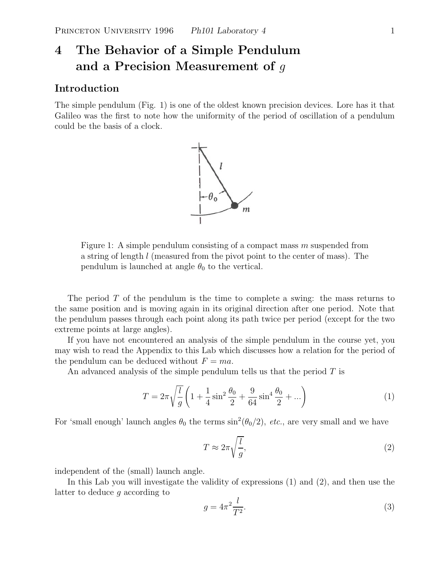# **4 The Behavior of a Simple Pendulum and a Precision Measurement of** g

### **Introduction**

The simple pendulum (Fig. 1) is one of the oldest known precision devices. Lore has it that Galileo was the first to note how the uniformity of the period of oscillation of a pendulum could be the basis of a clock.



Figure 1: A simple pendulum consisting of a compact mass  $m$  suspended from a string of length l (measured from the pivot point to the center of mass). The pendulum is launched at angle  $\theta_0$  to the vertical.

The period  $T$  of the pendulum is the time to complete a swing: the mass returns to the same position and is moving again in its original direction after one period. Note that the pendulum passes through each point along its path twice per period (except for the two extreme points at large angles).

If you have not encountered an analysis of the simple pendulum in the course yet, you may wish to read the Appendix to this Lab which discusses how a relation for the period of the pendulum can be deduced without  $F = ma$ .

An advanced analysis of the simple pendulum tells us that the period  $T$  is

$$
T = 2\pi \sqrt{\frac{l}{g}} \left( 1 + \frac{1}{4} \sin^2 \frac{\theta_0}{2} + \frac{9}{64} \sin^4 \frac{\theta_0}{2} + \ldots \right)
$$
 (1)

For 'small enough' launch angles  $\theta_0$  the terms  $\sin^2(\theta_0/2)$ , *etc.*, are very small and we have

$$
T \approx 2\pi \sqrt{\frac{l}{g}},\tag{2}
$$

independent of the (small) launch angle.

In this Lab you will investigate the validity of expressions (1) and (2), and then use the latter to deduce g according to

$$
g = 4\pi^2 \frac{l}{T^2}.\tag{3}
$$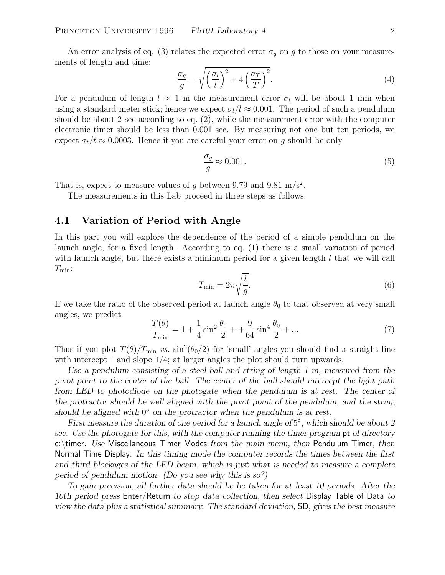An error analysis of eq. (3) relates the expected error  $\sigma_q$  on g to those on your measurements of length and time:

$$
\frac{\sigma_g}{g} = \sqrt{\left(\frac{\sigma_l}{l}\right)^2 + 4\left(\frac{\sigma_T}{T}\right)^2}.
$$
\n(4)

For a pendulum of length  $l \approx 1$  m the measurement error  $\sigma_l$  will be about 1 mm when using a standard meter stick; hence we expect  $\sigma_l/l \approx 0.001$ . The period of such a pendulum should be about 2 sec according to eq. (2), while the measurement error with the computer electronic timer should be less than 0.001 sec. By measuring not one but ten periods, we expect  $\sigma_t/t \approx 0.0003$ . Hence if you are careful your error on g should be only

$$
\frac{\sigma_g}{g} \approx 0.001.\tag{5}
$$

That is, expect to measure values of g between 9.79 and 9.81 m/s<sup>2</sup>.

The measurements in this Lab proceed in three steps as follows.

## **4.1 Variation of Period with Angle**

In this part you will explore the dependence of the period of a simple pendulum on the launch angle, for a fixed length. According to eq. (1) there is a small variation of period with launch angle, but there exists a minimum period for a given length  $l$  that we will call  $T_{\min}$ :

$$
T_{\min} = 2\pi \sqrt{\frac{l}{g}}.\tag{6}
$$

If we take the ratio of the observed period at launch angle  $\theta_0$  to that observed at very small angles, we predict

$$
\frac{T(\theta)}{T_{\min}} = 1 + \frac{1}{4}\sin^2\frac{\theta_0}{2} + \frac{9}{64}\sin^4\frac{\theta_0}{2} + \dots \tag{7}
$$

Thus if you plot  $T(\theta)/T_{\text{min}}$  *vs.*  $\sin^2(\theta_0/2)$  for 'small' angles you should find a straight line with intercept 1 and slope 1/4; at larger angles the plot should turn upwards.

*Use a pendulum consisting of a steel ball and string of length 1 m, measured from the pivot point to the center of the ball. The center of the ball should intercept the light path from LED to photodiode on the photogate when the pendulum is at rest. The center of the protractor should be well aligned with the pivot point of the pendulum, and the string should be aligned with* 0◦ *on the protractor when the pendulum is at rest.*

*First measure the duration of one period for a launch angle of* 5◦*, which should be about 2 sec. Use the photogate for this, with the computer running the timer program* pt *of directory* c:\timer*. Use* Miscellaneous Timer Modes *from the main menu, then* Pendulum Timer*, then* Normal Time Display*. In this timing mode the computer records the times between the first and third blockages of the LED beam, which is just what is needed to measure a complete period of pendulum motion. (Do you see why this is so?)*

*To gain precision, all further data should be be taken for at least 10 periods. After the 10th period press* Enter/Return *to stop data collection, then select* Display Table of Data *to view the data plus a statistical summary. The standard deviation,* SD*, gives the best measure*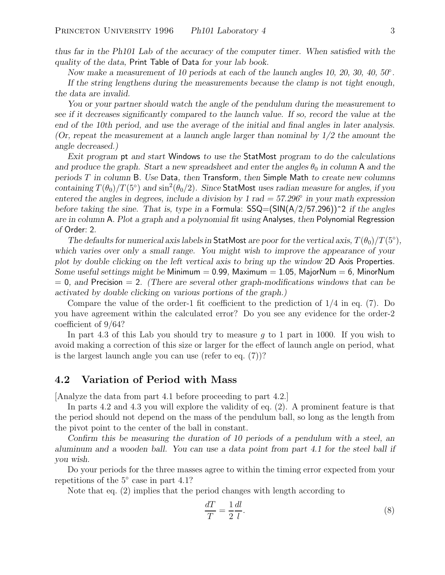*thus far in the Ph101 Lab of the accuracy of the computer timer. When satisfied with the quality of the data,* Print Table of Data *for your lab book.*

*Now make a measurement of 10 periods at each of the launch angles 10, 20, 30, 40, 50*◦*.*

*If the string lengthens during the measurements because the clamp is not tight enough, the data are invalid.*

*You or your partner should watch the angle of the pendulum during the measurement to see if it decreases significantly compared to the launch value. If so, record the value at the end of the 10th period, and use the average of the initial and final angles in later analysis. (Or, repeat the measurement at a launch angle larger than nominal by 1/2 the amount the angle decreased.)*

*Exit program* pt *and start* Windows *to use the* StatMost *program to do the calculations and produce the graph. Start a new spreadsheet and enter the angles*  $\theta_0$  *in column* A *and the periods* T *in column* B*. Use* Data*, then* Transform*, then* Simple Math *to create new columns containing*  $T(\theta_0)/T(5)$  *and*  $\sin^2(\theta_0/2)$ *. Since* StatMost *uses radian measure for angles, if you entered the angles in degrees, include a division by 1 rad = 57.296*◦ *in your math expression before taking the sine. That is, type in a* Formula: SSQ=(SIN(A/2/57.296))^2 *if the angles are in column* A*. Plot a graph and a polynomial fit using* Analyses*, then* Polynomial Regression *of* Order: 2*.*

*The defaults for numerical axis labels in* StatMost *are poor for the vertical axis,*  $T(\theta_0)/T(5^{\circ})$ *, which varies over only a small range. You might wish to improve the appearance of your plot by double clicking on the left vertical axis to bring up the window* 2D Axis Properties*. Some useful settings might be* Minimum = 0.99*,* Maximum = 1.05*,* MajorNum = 6*,* MinorNum = 0*, and* Precision = 2*. (There are several other graph-modifications windows that can be activated by double clicking on various portions of the graph.)*

Compare the value of the order-1 fit coefficient to the prediction of 1/4 in eq. (7). Do you have agreement within the calculated error? Do you see any evidence for the order-2 coefficient of 9/64?

In part 4.3 of this Lab you should try to measure  $q$  to 1 part in 1000. If you wish to avoid making a correction of this size or larger for the effect of launch angle on period, what is the largest launch angle you can use (refer to eq. (7))?

#### **4.2 Variation of Period with Mass**

[Analyze the data from part 4.1 before proceeding to part 4.2.]

In parts 4.2 and 4.3 you will explore the validity of eq. (2). A prominent feature is that the period should not depend on the mass of the pendulum ball, so long as the length from the pivot point to the center of the ball in constant.

*Confirm this be measuring the duration of 10 periods of a pendulum with a steel, an aluminum and a wooden ball. You can use a data point from part 4.1 for the steel ball if you wish.*

Do your periods for the three masses agree to within the timing error expected from your repetitions of the 5◦ case in part 4.1?

Note that eq. (2) implies that the period changes with length according to

$$
\frac{dT}{T} = \frac{1}{2} \frac{dl}{l}.\tag{8}
$$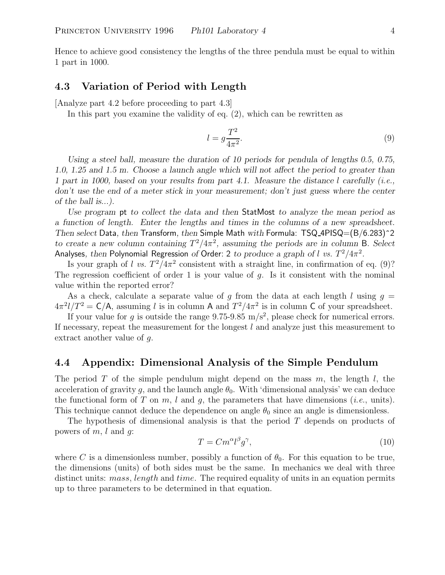Hence to achieve good consistency the lengths of the three pendula must be equal to within 1 part in 1000.

#### **4.3 Variation of Period with Length**

[Analyze part 4.2 before proceeding to part 4.3]

In this part you examine the validity of eq. (2), which can be rewritten as

$$
l = g \frac{T^2}{4\pi^2}.\tag{9}
$$

*Using a steel ball, measure the duration of 10 periods for pendula of lengths 0.5, 0.75, 1.0, 1.25 and 1.5 m. Choose a launch angle which will not affect the period to greater than 1 part in 1000, based on your results from part 4.1. Measure the distance* l *carefully (i.e., don't use the end of a meter stick in your measurement; don't just guess where the center of the ball is...).*

*Use program* pt *to collect the data and then* StatMost *to analyze the mean period as a function of length. Enter the lengths and times in the columns of a new spreadsheet. Then select* Data*, then* Transform*, then* Simple Math *with* Formula: TSQ 4PISQ=(B/6.283)^2 *to create a new column containing*  $T^2/4\pi^2$ , assuming the periods are in column B. Select Analyses, then Polynomial Regression of Order: 2 to produce a graph of l *vs.*  $T^2/4\pi^2$ .

Is your graph of l *vs.*  $T^2/4\pi^2$  consistent with a straight line, in confirmation of eq. (9)? The regression coefficient of order 1 is your value of  $g$ . Is it consistent with the nominal value within the reported error?

As a check, calculate a separate value of q from the data at each length l using  $q =$  $4\pi^2 l/T^2 = C/A$ , assuming l is in column A and  $T^2/4\pi^2$  is in column C of your spreadsheet.

If your value for g is outside the range 9.75-9.85 m/s<sup>2</sup>, please check for numerical errors. If necessary, repeat the measurement for the longest  $l$  and analyze just this measurement to extract another value of g.

#### **4.4 Appendix: Dimensional Analysis of the Simple Pendulum**

The period T of the simple pendulum might depend on the mass  $m$ , the length  $l$ , the acceleration of gravity g, and the launch angle  $\theta_0$ . With 'dimensional analysis' we can deduce the functional form of T on  $m$ , l and  $q$ , the parameters that have dimensions (*i.e.*, units). This technique cannot deduce the dependence on angle  $\theta_0$  since an angle is dimensionless.

The hypothesis of dimensional analysis is that the period T depends on products of powers of  $m, l$  and  $q$ :

$$
T = Cm^{\alpha}l^{\beta}g^{\gamma},\tag{10}
$$

where C is a dimensionless number, possibly a function of  $\theta_0$ . For this equation to be true, the dimensions (units) of both sides must be the same. In mechanics we deal with three distinct units: *mass, length* and *time*. The required equality of units in an equation permits up to three parameters to be determined in that equation.